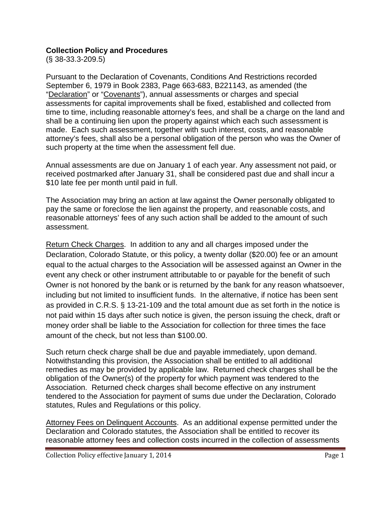## **Collection Policy and Procedures**

(§ 38-33.3-209.5)

Pursuant to the Declaration of Covenants, Conditions And Restrictions recorded September 6, 1979 in Book 2383, Page 663-683, B221143, as amended (the "Declaration" or "Covenants"), annual assessments or charges and special assessments for capital improvements shall be fixed, established and collected from time to time, including reasonable attorney's fees, and shall be a charge on the land and shall be a continuing lien upon the property against which each such assessment is made. Each such assessment, together with such interest, costs, and reasonable attorney's fees, shall also be a personal obligation of the person who was the Owner of such property at the time when the assessment fell due.

Annual assessments are due on January 1 of each year. Any assessment not paid, or received postmarked after January 31, shall be considered past due and shall incur a \$10 late fee per month until paid in full.

The Association may bring an action at law against the Owner personally obligated to pay the same or foreclose the lien against the property, and reasonable costs, and reasonable attorneys' fees of any such action shall be added to the amount of such assessment.

Return Check Charges. In addition to any and all charges imposed under the Declaration, Colorado Statute, or this policy, a twenty dollar (\$20.00) fee or an amount equal to the actual charges to the Association will be assessed against an Owner in the event any check or other instrument attributable to or payable for the benefit of such Owner is not honored by the bank or is returned by the bank for any reason whatsoever, including but not limited to insufficient funds. In the alternative, if notice has been sent as provided in C.R.S. § 13-21-109 and the total amount due as set forth in the notice is not paid within 15 days after such notice is given, the person issuing the check, draft or money order shall be liable to the Association for collection for three times the face amount of the check, but not less than \$100.00.

Such return check charge shall be due and payable immediately, upon demand. Notwithstanding this provision, the Association shall be entitled to all additional remedies as may be provided by applicable law. Returned check charges shall be the obligation of the Owner(s) of the property for which payment was tendered to the Association. Returned check charges shall become effective on any instrument tendered to the Association for payment of sums due under the Declaration, Colorado statutes, Rules and Regulations or this policy.

Attorney Fees on Delinquent Accounts. As an additional expense permitted under the Declaration and Colorado statutes, the Association shall be entitled to recover its reasonable attorney fees and collection costs incurred in the collection of assessments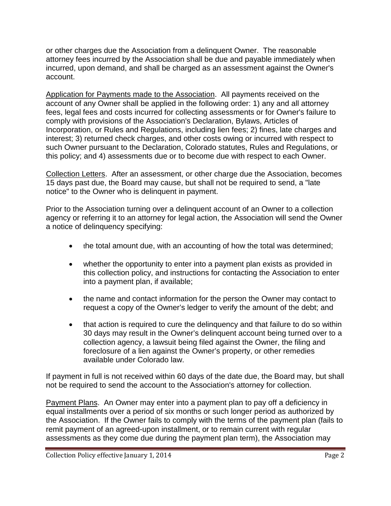or other charges due the Association from a delinquent Owner. The reasonable attorney fees incurred by the Association shall be due and payable immediately when incurred, upon demand, and shall be charged as an assessment against the Owner's account.

Application for Payments made to the Association. All payments received on the account of any Owner shall be applied in the following order: 1) any and all attorney fees, legal fees and costs incurred for collecting assessments or for Owner's failure to comply with provisions of the Association's Declaration, Bylaws, Articles of Incorporation, or Rules and Regulations, including lien fees; 2) fines, late charges and interest; 3) returned check charges, and other costs owing or incurred with respect to such Owner pursuant to the Declaration, Colorado statutes, Rules and Regulations, or this policy; and 4) assessments due or to become due with respect to each Owner.

Collection Letters. After an assessment, or other charge due the Association, becomes 15 days past due, the Board may cause, but shall not be required to send, a "late notice" to the Owner who is delinquent in payment.

Prior to the Association turning over a delinquent account of an Owner to a collection agency or referring it to an attorney for legal action, the Association will send the Owner a notice of delinquency specifying:

- the total amount due, with an accounting of how the total was determined;
- whether the opportunity to enter into a payment plan exists as provided in this collection policy, and instructions for contacting the Association to enter into a payment plan, if available;
- the name and contact information for the person the Owner may contact to request a copy of the Owner's ledger to verify the amount of the debt; and
- that action is required to cure the delinguency and that failure to do so within 30 days may result in the Owner's delinquent account being turned over to a collection agency, a lawsuit being filed against the Owner, the filing and foreclosure of a lien against the Owner's property, or other remedies available under Colorado law.

If payment in full is not received within 60 days of the date due, the Board may, but shall not be required to send the account to the Association's attorney for collection.

Payment Plans. An Owner may enter into a payment plan to pay off a deficiency in equal installments over a period of six months or such longer period as authorized by the Association. If the Owner fails to comply with the terms of the payment plan (fails to remit payment of an agreed-upon installment, or to remain current with regular assessments as they come due during the payment plan term), the Association may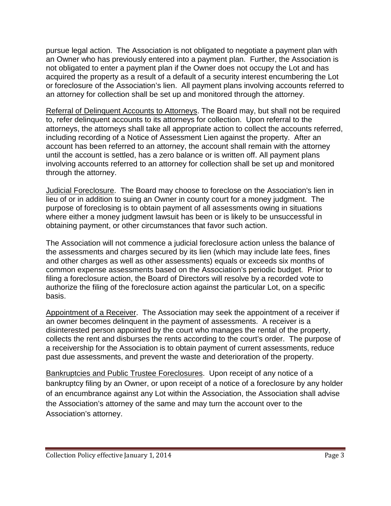pursue legal action. The Association is not obligated to negotiate a payment plan with an Owner who has previously entered into a payment plan. Further, the Association is not obligated to enter a payment plan if the Owner does not occupy the Lot and has acquired the property as a result of a default of a security interest encumbering the Lot or foreclosure of the Association's lien. All payment plans involving accounts referred to an attorney for collection shall be set up and monitored through the attorney.

Referral of Delinquent Accounts to Attorneys. The Board may, but shall not be required to, refer delinquent accounts to its attorneys for collection. Upon referral to the attorneys, the attorneys shall take all appropriate action to collect the accounts referred, including recording of a Notice of Assessment Lien against the property. After an account has been referred to an attorney, the account shall remain with the attorney until the account is settled, has a zero balance or is written off. All payment plans involving accounts referred to an attorney for collection shall be set up and monitored through the attorney.

Judicial Foreclosure. The Board may choose to foreclose on the Association's lien in lieu of or in addition to suing an Owner in county court for a money judgment. The purpose of foreclosing is to obtain payment of all assessments owing in situations where either a money judgment lawsuit has been or is likely to be unsuccessful in obtaining payment, or other circumstances that favor such action.

The Association will not commence a judicial foreclosure action unless the balance of the assessments and charges secured by its lien (which may include late fees, fines and other charges as well as other assessments) equals or exceeds six months of common expense assessments based on the Association's periodic budget. Prior to filing a foreclosure action, the Board of Directors will resolve by a recorded vote to authorize the filing of the foreclosure action against the particular Lot, on a specific basis.

Appointment of a Receiver. The Association may seek the appointment of a receiver if an owner becomes delinquent in the payment of assessments. A receiver is a disinterested person appointed by the court who manages the rental of the property, collects the rent and disburses the rents according to the court's order. The purpose of a receivership for the Association is to obtain payment of current assessments, reduce past due assessments, and prevent the waste and deterioration of the property.

Bankruptcies and Public Trustee Foreclosures. Upon receipt of any notice of a bankruptcy filing by an Owner, or upon receipt of a notice of a foreclosure by any holder of an encumbrance against any Lot within the Association, the Association shall advise the Association's attorney of the same and may turn the account over to the Association's attorney.